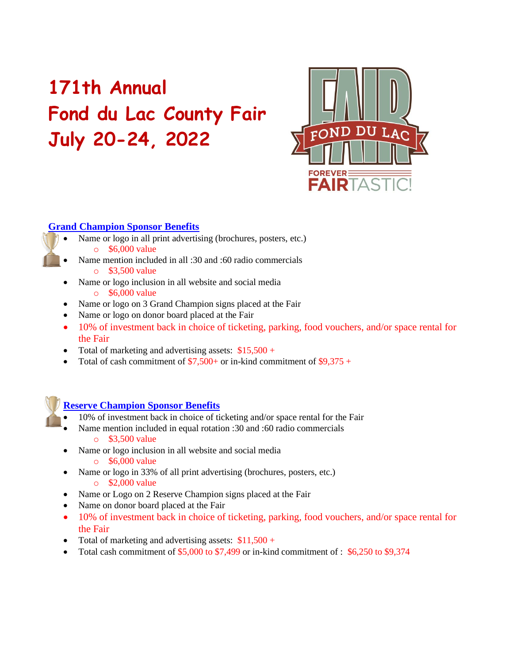# **171th Annual Fond du Lac County Fair July 20-24, 2022**



### **Grand Champion Sponsor Benefits**

- Name or logo in all print advertising (brochures, posters, etc.) o \$6,000 value
- Name mention included in all :30 and :60 radio commercials  $\circ$  \$3,500 value
- Name or logo inclusion in all website and social media o \$6,000 value
- Name or logo on 3 Grand Champion signs placed at the Fair
- Name or logo on donor board placed at the Fair
- 10% of investment back in choice of ticketing, parking, food vouchers, and/or space rental for the Fair
- Total of marketing and advertising assets:  $$15,500 +$
- Total of cash commitment of  $$7,500+$  or in-kind commitment of  $$9,375+$



## **Reserve Champion Sponsor Benefits**

- 10% of investment back in choice of ticketing and/or space rental for the Fair
- Name mention included in equal rotation :30 and :60 radio commercials o \$3,500 value
- Name or logo inclusion in all website and social media
	- o \$6,000 value
- Name or logo in 33% of all print advertising (brochures, posters, etc.)
	- o \$2,000 value
- Name or Logo on 2 Reserve Champion signs placed at the Fair
- Name on donor board placed at the Fair
- 10% of investment back in choice of ticketing, parking, food vouchers, and/or space rental for the Fair
- Total of marketing and advertising assets:  $$11,500 +$
- Total cash commitment of  $$5,000$  to  $$7,499$  or in-kind commitment of :  $$6,250$  to  $$9,374$